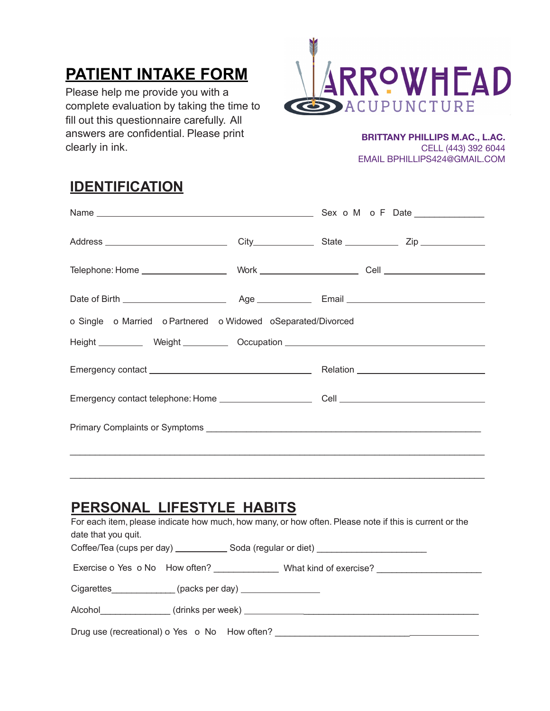# **PATIENT INTAKE FORM**

Please help me provide you with a complete evaluation by taking the time to fill out this questionnaire carefully. All answers are confidential. Please print clearly in ink.



**BRITTANY PHILLIPS M.AC., L.AC.**  CELL (443) 392 6044 EMAIL BPHILLIPS424@GMAIL.COM

### **IDENTIFICATION**

| o Single o Married o Partnered o Widowed o Separated/Divorced                    |  |  |  |
|----------------------------------------------------------------------------------|--|--|--|
| Height ___________ Weight __________ Occupation ________________________________ |  |  |  |
|                                                                                  |  |  |  |
|                                                                                  |  |  |  |
|                                                                                  |  |  |  |
|                                                                                  |  |  |  |

### **PERSONAL LIFESTYLE HABITS**

| For each item, please indicate how much, how many, or how often. Please note if this is current or the<br>date that you quit.<br>Coffee/Tea (cups per day) ________________ Soda (regular or diet) _________________________________ |  |  |  |  |
|--------------------------------------------------------------------------------------------------------------------------------------------------------------------------------------------------------------------------------------|--|--|--|--|
|                                                                                                                                                                                                                                      |  |  |  |  |
| Cigarettes______________(packs per day) ___________________                                                                                                                                                                          |  |  |  |  |
|                                                                                                                                                                                                                                      |  |  |  |  |
| Drug use (recreational) o Yes o No How often?                                                                                                                                                                                        |  |  |  |  |

 $\_$  ,  $\_$  ,  $\_$  ,  $\_$  ,  $\_$  ,  $\_$  ,  $\_$  ,  $\_$  ,  $\_$  ,  $\_$  ,  $\_$  ,  $\_$  ,  $\_$  ,  $\_$  ,  $\_$  ,  $\_$  ,  $\_$  ,  $\_$  ,  $\_$  ,  $\_$  ,  $\_$  ,  $\_$  ,  $\_$  ,  $\_$  ,  $\_$  ,  $\_$  ,  $\_$  ,  $\_$  ,  $\_$  ,  $\_$  ,  $\_$  ,  $\_$  ,  $\_$  ,  $\_$  ,  $\_$  ,  $\_$  ,  $\_$  ,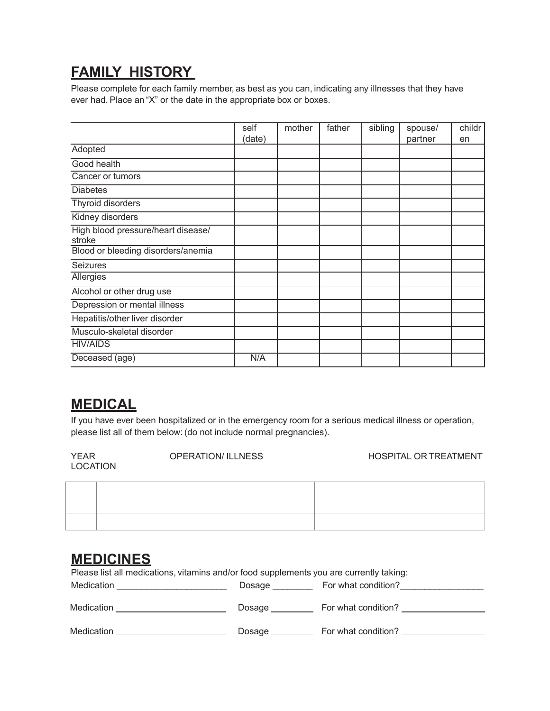# **FAMILY HISTORY**

Please complete for each family member, as best as you can, indicating any illnesses that they have ever had. Place an "X" or the date in the appropriate box or boxes.

|                                              | self   | mother | father | sibling | spouse/ | childr |
|----------------------------------------------|--------|--------|--------|---------|---------|--------|
|                                              | (date) |        |        |         | partner | en     |
| Adopted                                      |        |        |        |         |         |        |
| Good health                                  |        |        |        |         |         |        |
| Cancer or tumors                             |        |        |        |         |         |        |
| <b>Diabetes</b>                              |        |        |        |         |         |        |
| Thyroid disorders                            |        |        |        |         |         |        |
| Kidney disorders                             |        |        |        |         |         |        |
| High blood pressure/heart disease/<br>stroke |        |        |        |         |         |        |
| Blood or bleeding disorders/anemia           |        |        |        |         |         |        |
| <b>Seizures</b>                              |        |        |        |         |         |        |
| Allergies                                    |        |        |        |         |         |        |
| Alcohol or other drug use                    |        |        |        |         |         |        |
| Depression or mental illness                 |        |        |        |         |         |        |
| Hepatitis/other liver disorder               |        |        |        |         |         |        |
| Musculo-skeletal disorder                    |        |        |        |         |         |        |
| <b>HIV/AIDS</b>                              |        |        |        |         |         |        |
| Deceased (age)                               | N/A    |        |        |         |         |        |

#### **MEDICAL**

If you have ever been hospitalized or in the emergency room for a serious medical illness or operation, please list all of them below: (do not include normal pregnancies).

LOCATION

YEAR OPERATION/ ILLNESS HOSPITAL OR TREATMENT

#### **MEDICINES**

Please list all medications, vitamins and/or food supplements you are currently taking:

| Medication | Dosage | For what condition? |
|------------|--------|---------------------|
| Medication | Dosage | For what condition? |
| Medication | Dosage | For what condition? |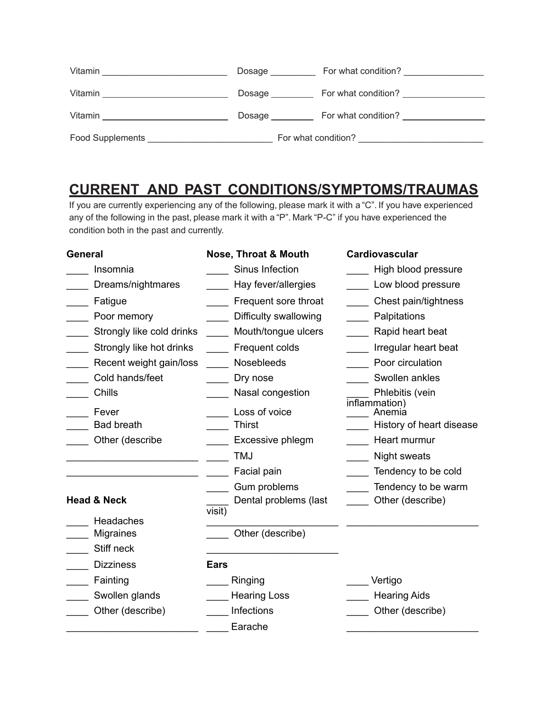| Vitamin                                                                                              | Dosage          | For what condition?                                                                                            |
|------------------------------------------------------------------------------------------------------|-----------------|----------------------------------------------------------------------------------------------------------------|
| Vitamin<br>the control of the control of the control of the control of the control of the control of | Dosage $\_\_$   | For what condition?                                                                                            |
| Vitamin <b>Vitamin</b>                                                                               | Dosage $\qquad$ | For what condition? The condition of the condition of the condition of the condition of the condition of the c |
| <b>Food Supplements</b>                                                                              |                 | For what condition?                                                                                            |

## **CURRENT AND PAST CONDITIONS/SYMPTOMS/TRAUMAS**

If you are currently experiencing any of the following, please mark it with a "C". If you have experienced any of the following in the past, please mark it with a "P". Mark "P-C" if you have experienced the condition both in the past and currently.

| <b>General</b>            | <b>Nose, Throat &amp; Mouth</b> | Cardiovascular           |
|---------------------------|---------------------------------|--------------------------|
| Insomnia                  | Sinus Infection                 | High blood pressure      |
| Dreams/nightmares         | Hay fever/allergies             | Low blood pressure       |
| Fatigue                   | Frequent sore throat            | Chest pain/tightness     |
| Poor memory               | Difficulty swallowing           | Palpitations             |
| Strongly like cold drinks | Mouth/tongue ulcers             | Rapid heart beat         |
| Strongly like hot drinks  | Frequent colds                  | Irregular heart beat     |
| Recent weight gain/loss   | Nosebleeds                      | Poor circulation         |
| Cold hands/feet           | Dry nose                        | Swollen ankles           |
| Chills                    | Nasal congestion                | Phlebitis (vein          |
| Fever                     | Loss of voice                   | inflammation)<br>Anemia  |
| <b>Bad breath</b>         | <b>Thirst</b>                   | History of heart disease |
| Other (describe           | Excessive phlegm                | Heart murmur             |
|                           | <b>TMJ</b>                      | Night sweats             |
|                           | Facial pain                     | Tendency to be cold      |
|                           | Gum problems                    | Tendency to be warm      |
| <b>Head &amp; Neck</b>    | Dental problems (last           | Other (describe)         |
| Headaches                 | visit)                          |                          |
| Migraines                 | Other (describe)                |                          |
| Stiff neck                |                                 |                          |
| <b>Dizziness</b>          | <b>Ears</b>                     |                          |
| Fainting                  | Ringing                         | Vertigo                  |
| Swollen glands            | <b>Hearing Loss</b>             | <b>Hearing Aids</b>      |
| Other (describe)          | Infections                      | Other (describe)         |
|                           | Earache                         |                          |
|                           |                                 |                          |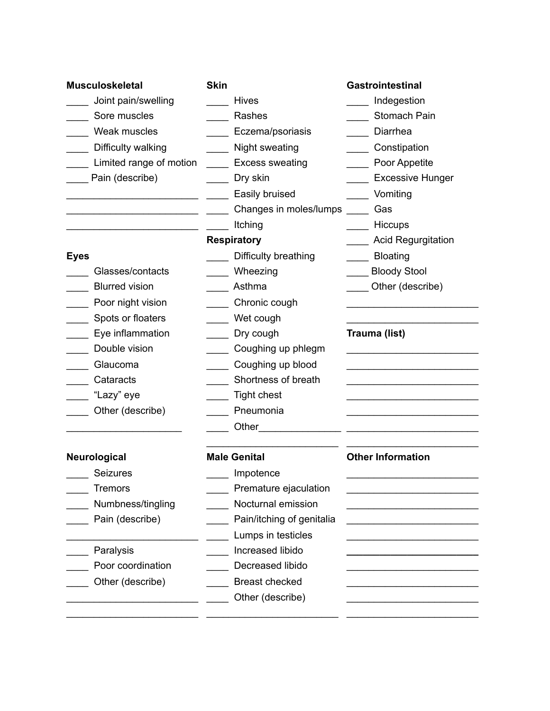| <b>Musculoskeletal</b>                                                     | <b>Skin</b>               | Gastrointestinal                                 |
|----------------------------------------------------------------------------|---------------------------|--------------------------------------------------|
| Joint pain/swelling                                                        | <b>Hives</b>              | Indegestion                                      |
| Sore muscles                                                               | Rashes                    | Stomach Pain                                     |
| Weak muscles                                                               | Eczema/psoriasis          | Diarrhea                                         |
| Difficulty walking                                                         | Night sweating            | Constipation                                     |
| Limited range of motion _______ Excess sweating                            |                           | Poor Appetite                                    |
| Pain (describe)                                                            | Dry skin                  | <b>Excessive Hunger</b>                          |
|                                                                            | Easily bruised            | Vomiting                                         |
| the control of the control of the control of the control of the control of | Changes in moles/lumps    | and Gas                                          |
|                                                                            | Itching                   | Hiccups                                          |
|                                                                            | <b>Respiratory</b>        | <b>Acid Regurgitation</b>                        |
| <b>Eyes</b>                                                                | Difficulty breathing      | Bloating                                         |
| Glasses/contacts                                                           | Wheezing                  | Bloody Stool                                     |
| <b>Blurred vision</b>                                                      | Asthma                    | Other (describe)                                 |
| Poor night vision                                                          | Chronic cough             |                                                  |
| Spots or floaters                                                          | Wet cough                 |                                                  |
| Eye inflammation                                                           | Dry cough                 | Trauma (list)                                    |
| Double vision                                                              | Coughing up phlegm        | the control of the control of the control of the |
| Glaucoma                                                                   | Coughing up blood         |                                                  |
| Cataracts                                                                  | Shortness of breath       |                                                  |
| "Lazy" eye                                                                 | <b>Tight chest</b>        |                                                  |
| Other (describe)                                                           | Pneumonia                 |                                                  |
|                                                                            |                           |                                                  |
| Neurological                                                               | <b>Male Genital</b>       | <b>Other Information</b>                         |
| Seizures                                                                   | Impotence                 |                                                  |
| <b>Tremors</b>                                                             | Premature ejaculation     |                                                  |
| Numbness/tingling                                                          | Nocturnal emission        |                                                  |
| Pain (describe)                                                            | Pain/itching of genitalia |                                                  |
|                                                                            | Lumps in testicles        |                                                  |
| Paralysis                                                                  | Increased libido          |                                                  |
| Poor coordination                                                          | Decreased libido          |                                                  |
| Other (describe)                                                           | <b>Breast checked</b>     |                                                  |
|                                                                            | Other (describe)          |                                                  |
|                                                                            |                           |                                                  |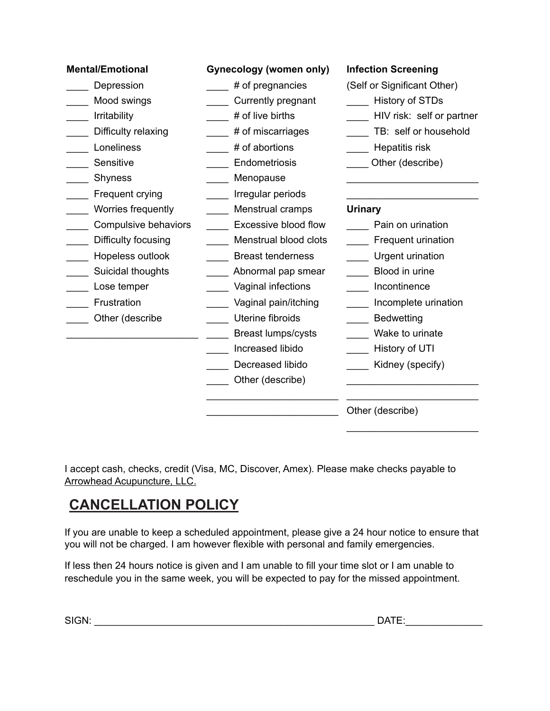| <b>Mental/Emotional</b>                                                                                                                                     | <b>Gynecology (women only)</b>                                                                                                                                                                                                                                                        | <b>Infection Screening</b>                                                                                                                                                                                     |
|-------------------------------------------------------------------------------------------------------------------------------------------------------------|---------------------------------------------------------------------------------------------------------------------------------------------------------------------------------------------------------------------------------------------------------------------------------------|----------------------------------------------------------------------------------------------------------------------------------------------------------------------------------------------------------------|
| Depression<br>Mood swings<br>Irritability<br>Difficulty relaxing<br>Loneliness<br>Sensitive                                                                 | # of pregnancies<br>Currently pregnant<br># of live births<br># of miscarriages<br># of abortions<br>Endometriosis                                                                                                                                                                    | (Self or Significant Other)<br><b>History of STDs</b><br>HIV risk: self or partner<br>TB: self or household<br>Hepatitis risk<br>Other (describe)                                                              |
| Shyness<br>Frequent crying                                                                                                                                  | Menopause<br>Irregular periods                                                                                                                                                                                                                                                        |                                                                                                                                                                                                                |
| Worries frequently<br>Compulsive behaviors<br>Difficulty focusing<br>Hopeless outlook<br>Suicidal thoughts<br>Lose temper<br>Frustration<br>Other (describe | Menstrual cramps<br><b>Excessive blood flow</b><br>Menstrual blood clots<br><b>Breast tenderness</b><br>Abnormal pap smear<br>Vaginal infections<br>Vaginal pain/itching<br>Uterine fibroids<br><b>Breast lumps/cysts</b><br>Increased libido<br>Decreased libido<br>Other (describe) | Urinary<br>Pain on urination<br>Frequent urination<br>Urgent urination<br>Blood in urine<br>Incontinence<br>Incomplete urination<br><b>Bedwetting</b><br>Wake to urinate<br>History of UTI<br>Kidney (specify) |
|                                                                                                                                                             |                                                                                                                                                                                                                                                                                       | Other (describe)                                                                                                                                                                                               |

I accept cash, checks, credit (Visa, MC, Discover, Amex). Please make checks payable to Arrowhead Acupuncture, LLC.

# **CANCELLATION POLICY**

If you are unable to keep a scheduled appointment, please give a 24 hour notice to ensure that you will not be charged. I am however flexible with personal and family emergencies.

If less then 24 hours notice is given and I am unable to fill your time slot or I am unable to reschedule you in the same week, you will be expected to pay for the missed appointment.